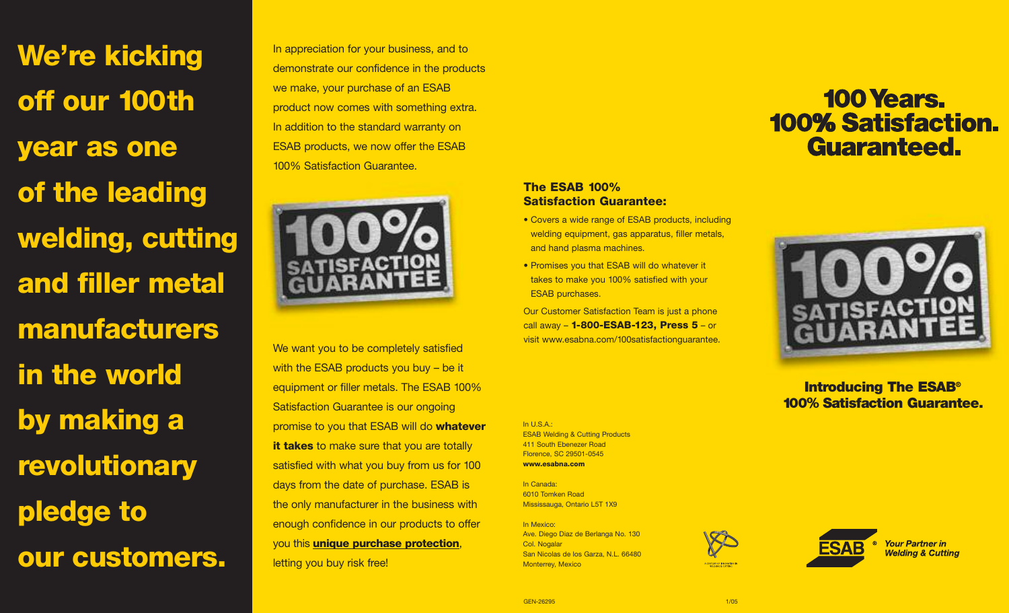**We're kicking off our 100th year as one of the leading welding, cutting and filler metal manufacturers in the world by making a revolutionary pledge to our customers.**

In appreciation for your business, and to demonstrate our confidence in the products we make, your purchase of an ESAB product now comes with something extra. In addition to the standard warranty on ESAB products, we now offer the ESAB 100% Satisfaction Guarantee.



We want you to be completely satisfied with the ESAB products you buy - be it equipment or filler metals. The ESAB 100% Satisfaction Guarantee is our ongoing promise to you that ESAB will do **whatever it takes** to make sure that you are totally satisfied with what you buy from us for 100 days from the date of purchase. ESAB is the only manufacturer in the business with enough confidence in our products to offer you this **unique purchase protection**, letting you buy risk free!

## **The ESAB 100% Satisfaction Guarantee:**

- Covers a wide range of ESAB products, including welding equipment, gas apparatus, filler metals, and hand plasma machines.
- Promises you that ESAB will do whatever it takes to make you 100% satisfied with your ESAB purchases.

Our Customer Satisfaction Team is just a phone call away – **1-800-ESAB-123, Press 5** – or visit www.esabna.com/100satisfactionguarantee.

# **100 Years. 100% Satisfaction. Guaranteed.**



**Introducing The ESAB® 100% Satisfaction Guarantee.** 

In U.S.A.: ESAB Welding & Cutting Products 411 South Ebenezer Road Florence, SC 29501-0545 **www.esabna.com**

In Canada: 6010 Tomken Road Mississauga, Ontario L5T 1X9

In Mexico: Ave. Diego Diaz de Berlanga No. 130 Col. Nogalar San Nicolas de los Garza, N.L. 66480 Monterrey, Mexico